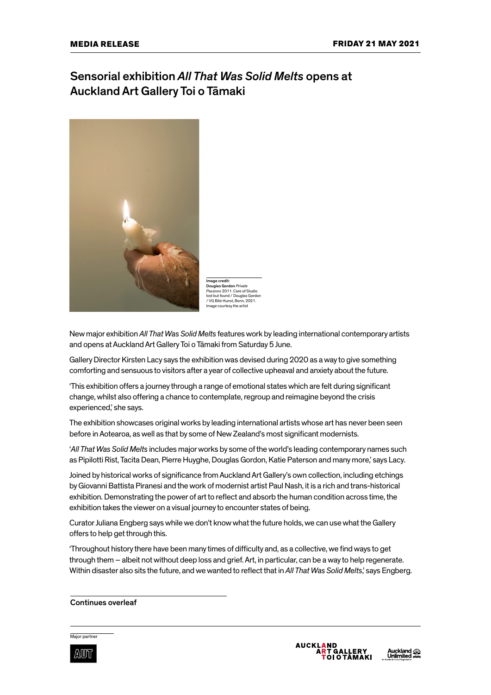# Sensorial exhibition *All That Was Solid Melts* opens at Auckland Art Gallery Toi o Tāmaki



Image credit: Douglas Gordon *Private Passions* 2011. Care of Studio lost but found / Douglas Gordon / VG Bild-Kunst, Bonn, 2021. age courtesy the artist

New major exhibition *All That Was Solid Melts* features work by leading international contemporary artists and opens at Auckland Art Gallery Toi o Tāmaki from Saturday 5 June.

Gallery Director Kirsten Lacy says the exhibition was devised during 2020 as a way to give something comforting and sensuous to visitors after a year of collective upheaval and anxiety about the future.

'This exhibition offers a journey through a range of emotional states which are felt during significant change, whilst also offering a chance to contemplate, regroup and reimagine beyond the crisis experienced,' she says.

The exhibition showcases original works by leading international artists whose art has never been seen before in Aotearoa, as well as that by some of New Zealand's most significant modernists.

'*All That Was Solid Melts* includes major works by some of the world's leading contemporary names such as Pipilotti Rist, Tacita Dean, Pierre Huyghe, Douglas Gordon, Katie Paterson and many more,' says Lacy.

Joined by historical works of significance from Auckland Art Gallery's own collection, including etchings by Giovanni Battista Piranesi and the work of modernist artist Paul Nash, it is a rich and trans-historical exhibition. Demonstrating the power of art to reflect and absorb the human condition across time, the exhibition takes the viewer on a visual journey to encounter states of being.

Curator Juliana Engberg says while we don't know what the future holds, we can use what the Gallery offers to help get through this.

'Throughout history there have been many times of difficulty and, as a collective, we find ways to get through them – albeit not without deep loss and grief. Art, in particular, can be a way to help regenerate. Within disaster also sits the future, and we wanted to reflect that in *All That Was Solid Melts*,' says Engberg.

### Continues overleaf

#### Major partner